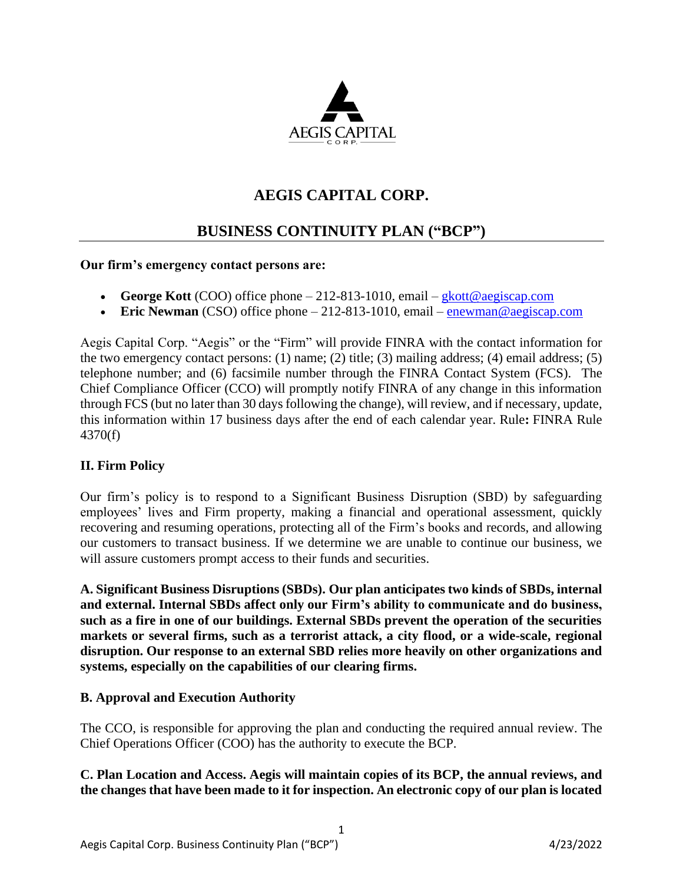

# **AEGIS CAPITAL CORP.**

# **BUSINESS CONTINUITY PLAN ("BCP")**

#### **Our firm's emergency contact persons are:**

- **George Kott** (COO) office phone  $-212-813-1010$ , email  $-\frac{8}{9}$  examples  $-\frac{1}{9}$
- **Eric Newman** (CSO) office phone 212-813-1010, email [enewman@aegiscap.com](mailto:enewman@aegiscap.com)

Aegis Capital Corp. "Aegis" or the "Firm" will provide FINRA with the contact information for the two emergency contact persons: (1) name; (2) title; (3) mailing address; (4) email address; (5) telephone number; and (6) facsimile number through the FINRA Contact System (FCS). The Chief Compliance Officer (CCO) will promptly notify FINRA of any change in this information through FCS (but no later than 30 days following the change), will review, and if necessary, update, this information within 17 business days after the end of each calendar year. Rule**:** FINRA Rule 4370(f)

## **II. Firm Policy**

Our firm's policy is to respond to a Significant Business Disruption (SBD) by safeguarding employees' lives and Firm property, making a financial and operational assessment, quickly recovering and resuming operations, protecting all of the Firm's books and records, and allowing our customers to transact business. If we determine we are unable to continue our business, we will assure customers prompt access to their funds and securities.

**A. Significant Business Disruptions (SBDs). Our plan anticipates two kinds of SBDs, internal and external. Internal SBDs affect only our Firm's ability to communicate and do business, such as a fire in one of our buildings. External SBDs prevent the operation of the securities markets or several firms, such as a terrorist attack, a city flood, or a wide-scale, regional disruption. Our response to an external SBD relies more heavily on other organizations and systems, especially on the capabilities of our clearing firms.**

#### **B. Approval and Execution Authority**

The CCO, is responsible for approving the plan and conducting the required annual review. The Chief Operations Officer (COO) has the authority to execute the BCP.

**C. Plan Location and Access. Aegis will maintain copies of its BCP, the annual reviews, and the changes that have been made to it for inspection. An electronic copy of our plan is located**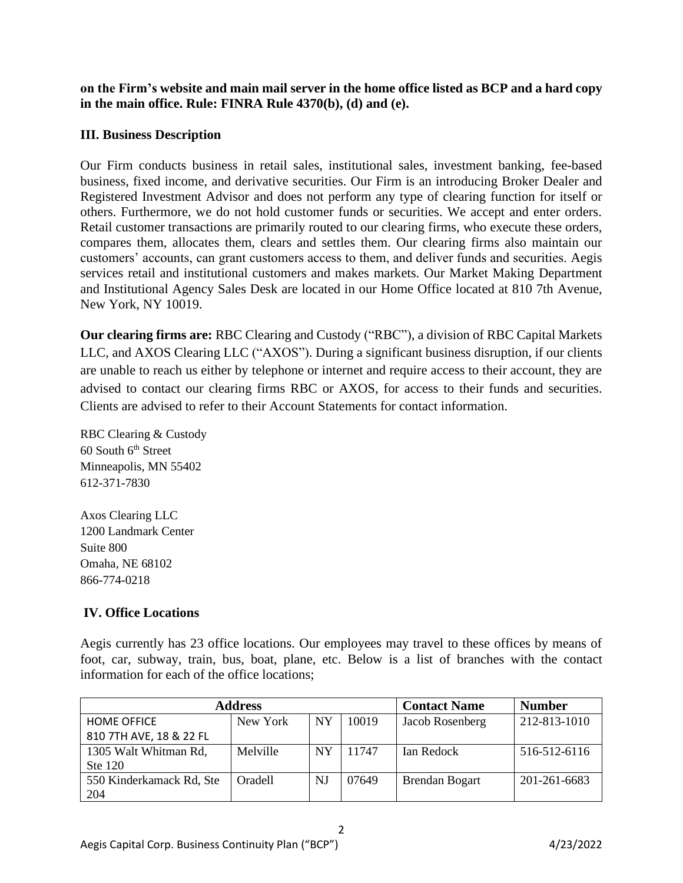**on the Firm's website and main mail server in the home office listed as BCP and a hard copy in the main office. Rule: FINRA Rule 4370(b), (d) and (e).**

## **III. Business Description**

Our Firm conducts business in retail sales, institutional sales, investment banking, fee-based business, fixed income, and derivative securities. Our Firm is an introducing Broker Dealer and Registered Investment Advisor and does not perform any type of clearing function for itself or others. Furthermore, we do not hold customer funds or securities. We accept and enter orders. Retail customer transactions are primarily routed to our clearing firms, who execute these orders, compares them, allocates them, clears and settles them. Our clearing firms also maintain our customers' accounts, can grant customers access to them, and deliver funds and securities. Aegis services retail and institutional customers and makes markets. Our Market Making Department and Institutional Agency Sales Desk are located in our Home Office located at 810 7th Avenue, New York, NY 10019.

**Our clearing firms are:** RBC Clearing and Custody ("RBC"), a division of RBC Capital Markets LLC, and AXOS Clearing LLC ("AXOS"). During a significant business disruption, if our clients are unable to reach us either by telephone or internet and require access to their account, they are advised to contact our clearing firms RBC or AXOS, for access to their funds and securities. Clients are advised to refer to their Account Statements for contact information.

RBC Clearing & Custody  $60$  South  $6<sup>th</sup>$  Street Minneapolis, MN 55402 612-371-7830

Axos Clearing LLC 1200 Landmark Center Suite 800 Omaha, NE 68102 866-774-0218

# **IV. Office Locations**

Aegis currently has 23 office locations. Our employees may travel to these offices by means of foot, car, subway, train, bus, boat, plane, etc. Below is a list of branches with the contact information for each of the office locations;

| <b>Address</b>           | <b>Contact Name</b> | <b>Number</b> |       |                       |              |
|--------------------------|---------------------|---------------|-------|-----------------------|--------------|
| <b>HOME OFFICE</b>       | New York            | <b>NY</b>     | 10019 | Jacob Rosenberg       | 212-813-1010 |
| 810 7TH AVE, 18 & 22 FL  |                     |               |       |                       |              |
| 1305 Walt Whitman Rd,    | Melville            | <b>NY</b>     | 11747 | Ian Redock            | 516-512-6116 |
| Ste 120                  |                     |               |       |                       |              |
| 550 Kinderkamack Rd, Ste | Oradell             | NJ            | 07649 | <b>Brendan Bogart</b> | 201-261-6683 |
| 204                      |                     |               |       |                       |              |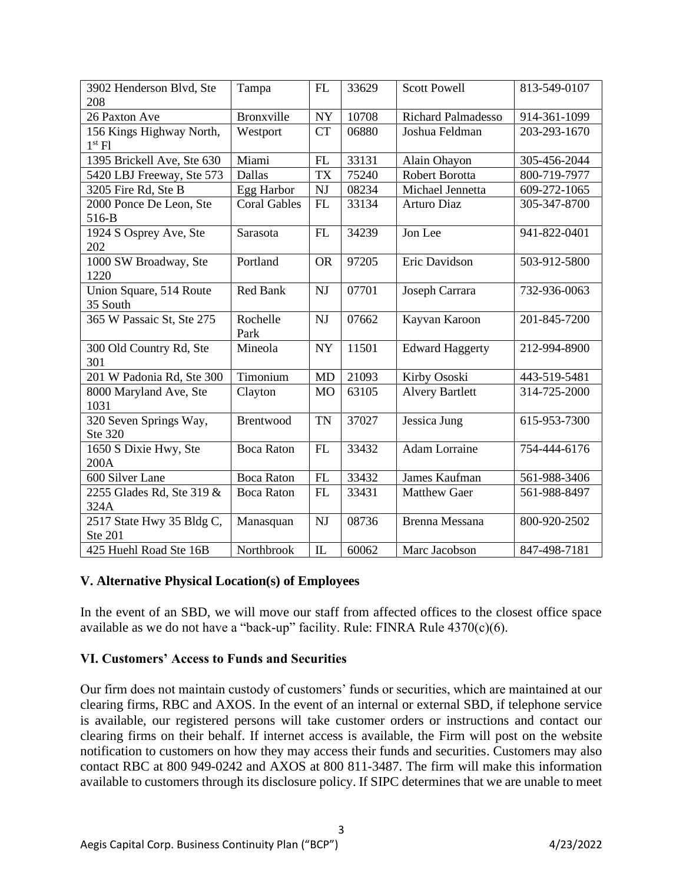| 3902 Henderson Blvd, Ste<br>208                | Tampa               | FL         | 33629 | <b>Scott Powell</b>       | 813-549-0107 |
|------------------------------------------------|---------------------|------------|-------|---------------------------|--------------|
| 26 Paxton Ave                                  | <b>Bronxville</b>   | ${\rm NY}$ | 10708 | <b>Richard Palmadesso</b> | 914-361-1099 |
| 156 Kings Highway North,<br>1 <sup>st</sup> Fl | Westport            | <b>CT</b>  | 06880 | Joshua Feldman            | 203-293-1670 |
| 1395 Brickell Ave, Ste 630                     | Miami               | FL         | 33131 | Alain Ohayon              | 305-456-2044 |
| 5420 LBJ Freeway, Ste 573                      | <b>Dallas</b>       | <b>TX</b>  | 75240 | <b>Robert Borotta</b>     | 800-719-7977 |
| 3205 Fire Rd, Ste B                            | Egg Harbor          | <b>NJ</b>  | 08234 | Michael Jennetta          | 609-272-1065 |
| 2000 Ponce De Leon, Ste<br>516-B               | <b>Coral Gables</b> | FL         | 33134 | <b>Arturo Diaz</b>        | 305-347-8700 |
| 1924 S Osprey Ave, Ste<br>202                  | Sarasota            | FL         | 34239 | Jon Lee                   | 941-822-0401 |
| 1000 SW Broadway, Ste<br>1220                  | Portland            | <b>OR</b>  | 97205 | Eric Davidson             | 503-912-5800 |
| Union Square, 514 Route<br>35 South            | Red Bank            | <b>NJ</b>  | 07701 | Joseph Carrara            | 732-936-0063 |
| 365 W Passaic St, Ste 275                      | Rochelle<br>Park    | <b>NJ</b>  | 07662 | Kayvan Karoon             | 201-845-7200 |
| 300 Old Country Rd, Ste<br>301                 | Mineola             | <b>NY</b>  | 11501 | <b>Edward Haggerty</b>    | 212-994-8900 |
| 201 W Padonia Rd, Ste 300                      | Timonium            | <b>MD</b>  | 21093 | Kirby Ososki              | 443-519-5481 |
| 8000 Maryland Ave, Ste<br>1031                 | Clayton             | <b>MO</b>  | 63105 | <b>Alvery Bartlett</b>    | 314-725-2000 |
| 320 Seven Springs Way,<br>Ste 320              | Brentwood           | <b>TN</b>  | 37027 | Jessica Jung              | 615-953-7300 |
| 1650 S Dixie Hwy, Ste<br>200A                  | <b>Boca Raton</b>   | FL         | 33432 | <b>Adam Lorraine</b>      | 754-444-6176 |
| 600 Silver Lane                                | <b>Boca Raton</b>   | FL         | 33432 | James Kaufman             | 561-988-3406 |
| 2255 Glades Rd, Ste 319 &<br>324A              | <b>Boca Raton</b>   | FL         | 33431 | <b>Matthew Gaer</b>       | 561-988-8497 |
| 2517 State Hwy 35 Bldg C,<br><b>Ste 201</b>    | Manasquan           | NJ         | 08736 | Brenna Messana            | 800-920-2502 |
| 425 Huehl Road Ste 16B                         | Northbrook          | IL         | 60062 | Marc Jacobson             | 847-498-7181 |

#### **V. Alternative Physical Location(s) of Employees**

In the event of an SBD, we will move our staff from affected offices to the closest office space available as we do not have a "back-up" facility. Rule: FINRA Rule 4370(c)(6).

#### **VI. Customers' Access to Funds and Securities**

Our firm does not maintain custody of customers' funds or securities, which are maintained at our clearing firms, RBC and AXOS. In the event of an internal or external SBD, if telephone service is available, our registered persons will take customer orders or instructions and contact our clearing firms on their behalf. If internet access is available, the Firm will post on the website notification to customers on how they may access their funds and securities. Customers may also contact RBC at 800 949-0242 and AXOS at 800 811-3487. The firm will make this information available to customers through its disclosure policy. If SIPC determines that we are unable to meet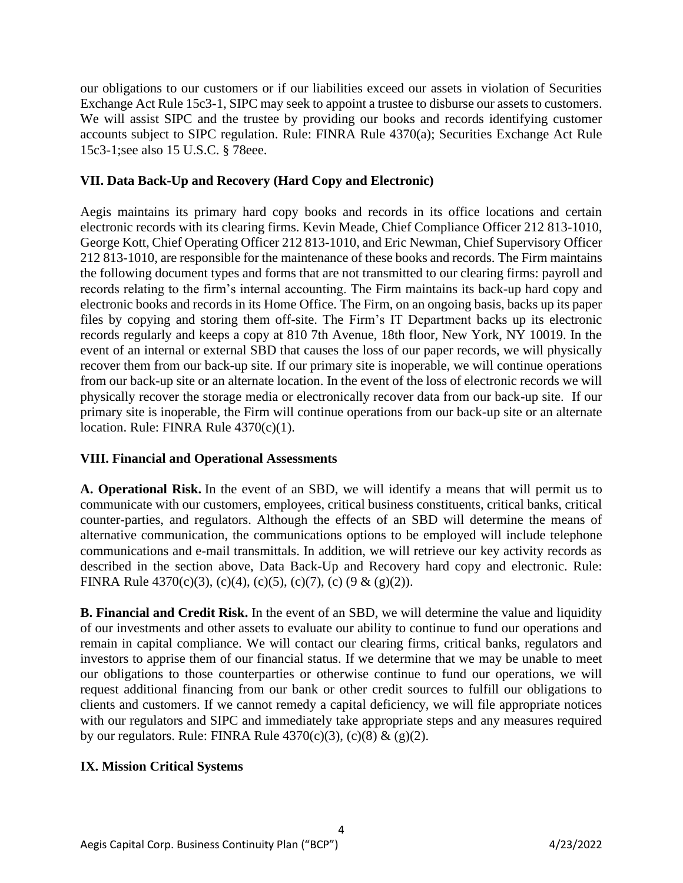our obligations to our customers or if our liabilities exceed our assets in violation of Securities Exchange Act Rule 15c3-1, SIPC may seek to appoint a trustee to disburse our assets to customers. We will assist SIPC and the trustee by providing our books and records identifying customer accounts subject to SIPC regulation. Rule: FINRA Rule 4370(a); Securities Exchange Act Rule 15c3-1;see also 15 U.S.C. § 78eee.

## **VII. Data Back-Up and Recovery (Hard Copy and Electronic)**

Aegis maintains its primary hard copy books and records in its office locations and certain electronic records with its clearing firms. Kevin Meade, Chief Compliance Officer 212 813-1010, George Kott, Chief Operating Officer 212 813-1010, and Eric Newman, Chief Supervisory Officer 212 813-1010, are responsible for the maintenance of these books and records. The Firm maintains the following document types and forms that are not transmitted to our clearing firms: payroll and records relating to the firm's internal accounting. The Firm maintains its back-up hard copy and electronic books and records in its Home Office. The Firm, on an ongoing basis, backs up its paper files by copying and storing them off-site. The Firm's IT Department backs up its electronic records regularly and keeps a copy at 810 7th Avenue, 18th floor, New York, NY 10019. In the event of an internal or external SBD that causes the loss of our paper records, we will physically recover them from our back-up site. If our primary site is inoperable, we will continue operations from our back-up site or an alternate location. In the event of the loss of electronic records we will physically recover the storage media or electronically recover data from our back-up site. If our primary site is inoperable, the Firm will continue operations from our back-up site or an alternate location. Rule: FINRA Rule 4370(c)(1).

## **VIII. Financial and Operational Assessments**

**A. Operational Risk.** In the event of an SBD, we will identify a means that will permit us to communicate with our customers, employees, critical business constituents, critical banks, critical counter-parties, and regulators. Although the effects of an SBD will determine the means of alternative communication, the communications options to be employed will include telephone communications and e-mail transmittals. In addition, we will retrieve our key activity records as described in the section above, Data Back-Up and Recovery hard copy and electronic. Rule: FINRA Rule  $4370(c)(3)$ , (c)(4), (c)(5), (c)(7), (c) (9 & (g)(2)).

**B. Financial and Credit Risk.** In the event of an SBD, we will determine the value and liquidity of our investments and other assets to evaluate our ability to continue to fund our operations and remain in capital compliance. We will contact our clearing firms, critical banks, regulators and investors to apprise them of our financial status. If we determine that we may be unable to meet our obligations to those counterparties or otherwise continue to fund our operations, we will request additional financing from our bank or other credit sources to fulfill our obligations to clients and customers. If we cannot remedy a capital deficiency, we will file appropriate notices with our regulators and SIPC and immediately take appropriate steps and any measures required by our regulators. Rule: FINRA Rule  $4370(c)(3)$ , (c)(8) & (g)(2).

# **IX. Mission Critical Systems**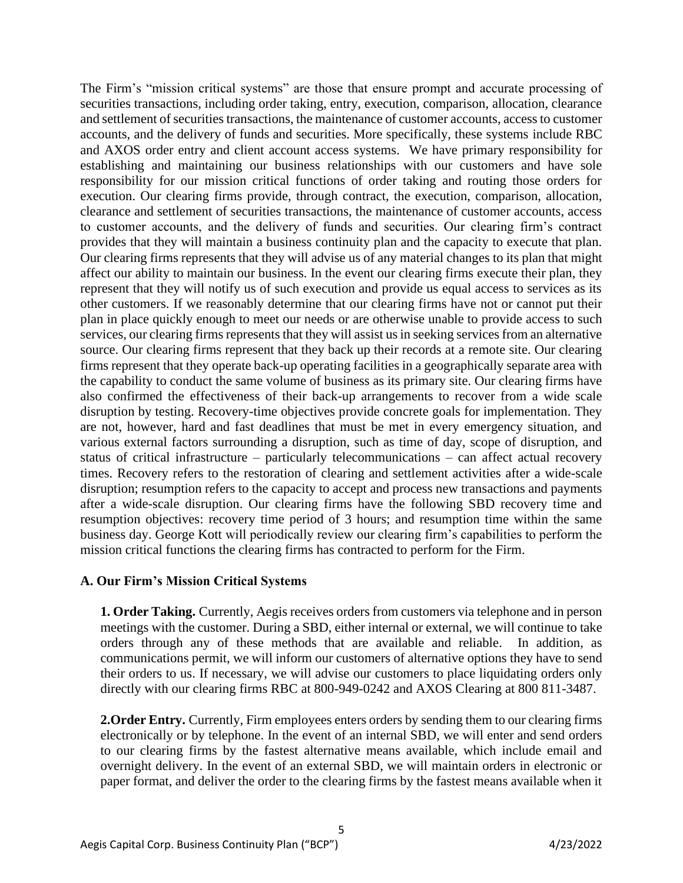The Firm's "mission critical systems" are those that ensure prompt and accurate processing of securities transactions, including order taking, entry, execution, comparison, allocation, clearance and settlement of securities transactions, the maintenance of customer accounts, access to customer accounts, and the delivery of funds and securities. More specifically, these systems include RBC and AXOS order entry and client account access systems. We have primary responsibility for establishing and maintaining our business relationships with our customers and have sole responsibility for our mission critical functions of order taking and routing those orders for execution. Our clearing firms provide, through contract, the execution, comparison, allocation, clearance and settlement of securities transactions, the maintenance of customer accounts, access to customer accounts, and the delivery of funds and securities. Our clearing firm's contract provides that they will maintain a business continuity plan and the capacity to execute that plan. Our clearing firms represents that they will advise us of any material changes to its plan that might affect our ability to maintain our business. In the event our clearing firms execute their plan, they represent that they will notify us of such execution and provide us equal access to services as its other customers. If we reasonably determine that our clearing firms have not or cannot put their plan in place quickly enough to meet our needs or are otherwise unable to provide access to such services, our clearing firms represents that they will assist us in seeking services from an alternative source. Our clearing firms represent that they back up their records at a remote site. Our clearing firms represent that they operate back-up operating facilities in a geographically separate area with the capability to conduct the same volume of business as its primary site. Our clearing firms have also confirmed the effectiveness of their back-up arrangements to recover from a wide scale disruption by testing. Recovery-time objectives provide concrete goals for implementation. They are not, however, hard and fast deadlines that must be met in every emergency situation, and various external factors surrounding a disruption, such as time of day, scope of disruption, and status of critical infrastructure – particularly telecommunications – can affect actual recovery times. Recovery refers to the restoration of clearing and settlement activities after a wide-scale disruption; resumption refers to the capacity to accept and process new transactions and payments after a wide-scale disruption. Our clearing firms have the following SBD recovery time and resumption objectives: recovery time period of 3 hours; and resumption time within the same business day. George Kott will periodically review our clearing firm's capabilities to perform the mission critical functions the clearing firms has contracted to perform for the Firm.

#### **A. Our Firm's Mission Critical Systems**

**1. Order Taking.** Currently, Aegis receives orders from customers via telephone and in person meetings with the customer. During a SBD, either internal or external, we will continue to take orders through any of these methods that are available and reliable. In addition, as communications permit, we will inform our customers of alternative options they have to send their orders to us. If necessary, we will advise our customers to place liquidating orders only directly with our clearing firms RBC at 800-949-0242 and AXOS Clearing at 800 811-3487.

2. Order Entry. Currently, Firm employees enters orders by sending them to our clearing firms electronically or by telephone. In the event of an internal SBD, we will enter and send orders to our clearing firms by the fastest alternative means available, which include email and overnight delivery. In the event of an external SBD, we will maintain orders in electronic or paper format, and deliver the order to the clearing firms by the fastest means available when it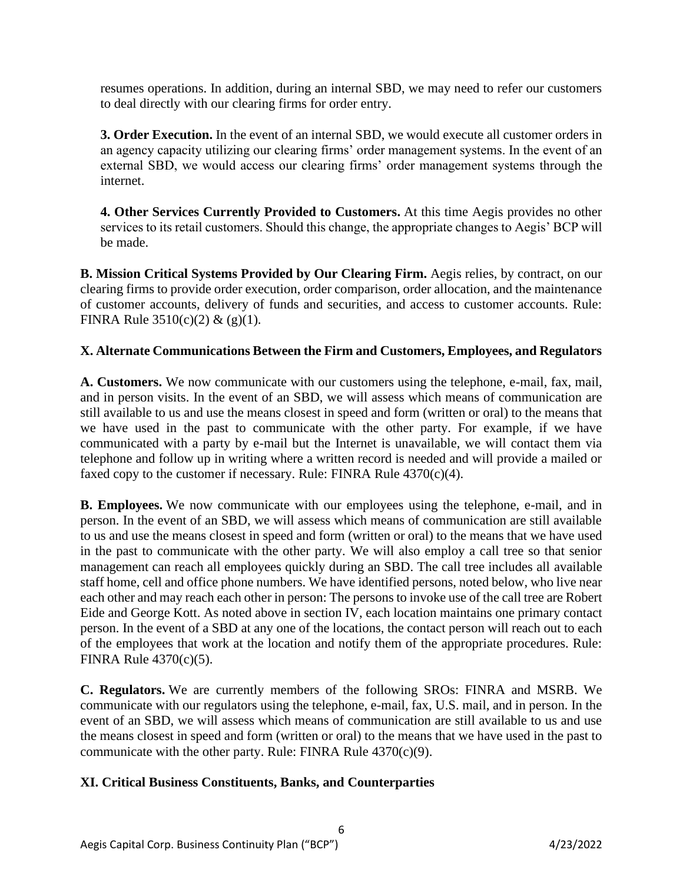resumes operations. In addition, during an internal SBD, we may need to refer our customers to deal directly with our clearing firms for order entry.

**3. Order Execution.** In the event of an internal SBD, we would execute all customer orders in an agency capacity utilizing our clearing firms' order management systems. In the event of an external SBD, we would access our clearing firms' order management systems through the internet.

**4. Other Services Currently Provided to Customers.** At this time Aegis provides no other services to its retail customers. Should this change, the appropriate changes to Aegis' BCP will be made.

**B. Mission Critical Systems Provided by Our Clearing Firm.** Aegis relies, by contract, on our clearing firms to provide order execution, order comparison, order allocation, and the maintenance of customer accounts, delivery of funds and securities, and access to customer accounts. Rule: FINRA Rule  $3510(c)(2) & (g)(1)$ .

## **X. Alternate Communications Between the Firm and Customers, Employees, and Regulators**

**A. Customers.** We now communicate with our customers using the telephone, e-mail, fax, mail, and in person visits. In the event of an SBD, we will assess which means of communication are still available to us and use the means closest in speed and form (written or oral) to the means that we have used in the past to communicate with the other party. For example, if we have communicated with a party by e-mail but the Internet is unavailable, we will contact them via telephone and follow up in writing where a written record is needed and will provide a mailed or faxed copy to the customer if necessary. Rule: FINRA Rule  $4370(c)(4)$ .

**B. Employees.** We now communicate with our employees using the telephone, e-mail, and in person. In the event of an SBD, we will assess which means of communication are still available to us and use the means closest in speed and form (written or oral) to the means that we have used in the past to communicate with the other party. We will also employ a call tree so that senior management can reach all employees quickly during an SBD. The call tree includes all available staff home, cell and office phone numbers. We have identified persons, noted below, who live near each other and may reach each other in person: The persons to invoke use of the call tree are Robert Eide and George Kott. As noted above in section IV, each location maintains one primary contact person. In the event of a SBD at any one of the locations, the contact person will reach out to each of the employees that work at the location and notify them of the appropriate procedures. Rule: FINRA Rule 4370(c)(5).

**C. Regulators.** We are currently members of the following SROs: FINRA and MSRB. We communicate with our regulators using the telephone, e-mail, fax, U.S. mail, and in person. In the event of an SBD, we will assess which means of communication are still available to us and use the means closest in speed and form (written or oral) to the means that we have used in the past to communicate with the other party. Rule: FINRA Rule  $4370(c)(9)$ .

6

## **XI. Critical Business Constituents, Banks, and Counterparties**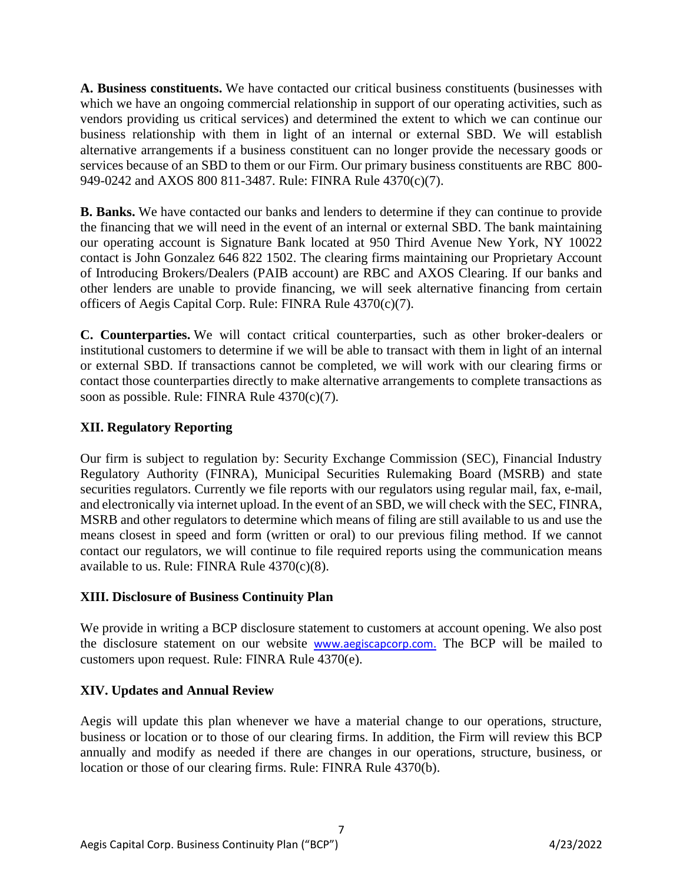**A. Business constituents.** We have contacted our critical business constituents (businesses with which we have an ongoing commercial relationship in support of our operating activities, such as vendors providing us critical services) and determined the extent to which we can continue our business relationship with them in light of an internal or external SBD. We will establish alternative arrangements if a business constituent can no longer provide the necessary goods or services because of an SBD to them or our Firm. Our primary business constituents are RBC 800- 949-0242 and AXOS 800 811-3487. Rule: FINRA Rule 4370(c)(7).

**B. Banks.** We have contacted our banks and lenders to determine if they can continue to provide the financing that we will need in the event of an internal or external SBD. The bank maintaining our operating account is Signature Bank located at 950 Third Avenue New York, NY 10022 contact is John Gonzalez 646 822 1502. The clearing firms maintaining our Proprietary Account of Introducing Brokers/Dealers (PAIB account) are RBC and AXOS Clearing. If our banks and other lenders are unable to provide financing, we will seek alternative financing from certain officers of Aegis Capital Corp. Rule: FINRA Rule 4370(c)(7).

**C. Counterparties.** We will contact critical counterparties, such as other broker-dealers or institutional customers to determine if we will be able to transact with them in light of an internal or external SBD. If transactions cannot be completed, we will work with our clearing firms or contact those counterparties directly to make alternative arrangements to complete transactions as soon as possible. Rule: FINRA Rule 4370(c)(7).

## **XII. Regulatory Reporting**

Our firm is subject to regulation by: Security Exchange Commission (SEC), Financial Industry Regulatory Authority (FINRA), Municipal Securities Rulemaking Board (MSRB) and state securities regulators. Currently we file reports with our regulators using regular mail, fax, e-mail, and electronically via internet upload. In the event of an SBD, we will check with the SEC, FINRA, MSRB and other regulators to determine which means of filing are still available to us and use the means closest in speed and form (written or oral) to our previous filing method. If we cannot contact our regulators, we will continue to file required reports using the communication means available to us. Rule: FINRA Rule  $4370(c)(8)$ .

## **XIII. Disclosure of Business Continuity Plan**

We provide in writing a BCP disclosure statement to customers at account opening. We also post the disclosure statement on our website [www.aegiscapcorp.com.](http://www.aegiscapcorp.com/) The BCP will be mailed to customers upon request. Rule: FINRA Rule 4370(e).

## **XIV. Updates and Annual Review**

Aegis will update this plan whenever we have a material change to our operations, structure, business or location or to those of our clearing firms. In addition, the Firm will review this BCP annually and modify as needed if there are changes in our operations, structure, business, or location or those of our clearing firms. Rule: FINRA Rule 4370(b).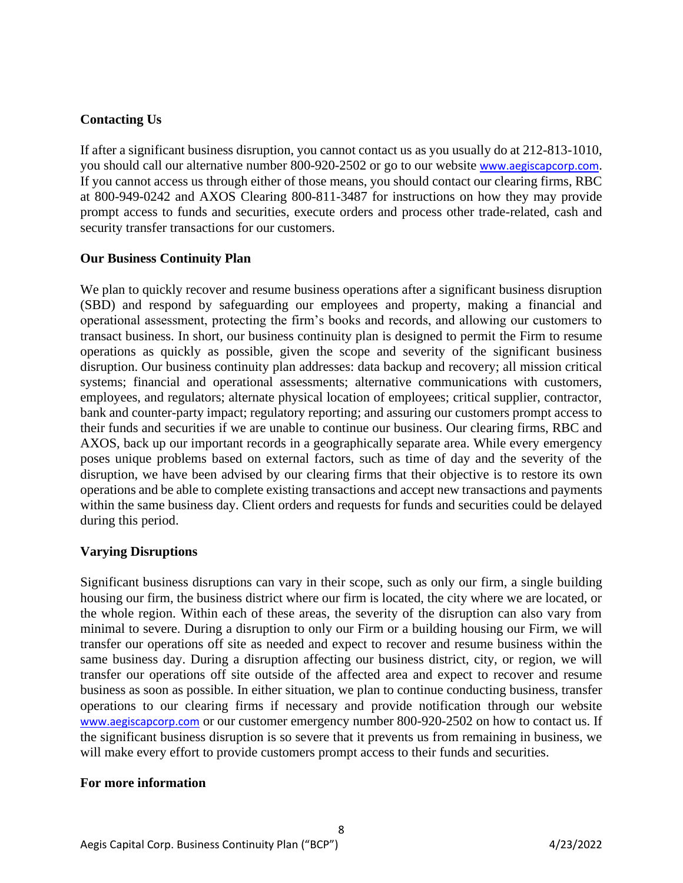## **Contacting Us**

If after a significant business disruption, you cannot contact us as you usually do at 212-813-1010, you should call our alternative number 800-920-2502 or go to our website www.aegiscapcorp.com. If you cannot access us through either of those means, you should contact our clearing firms, RBC at 800-949-0242 and AXOS Clearing 800-811-3487 for instructions on how they may provide prompt access to funds and securities, execute orders and process other trade-related, cash and security transfer transactions for our customers.

## **Our Business Continuity Plan**

We plan to quickly recover and resume business operations after a significant business disruption (SBD) and respond by safeguarding our employees and property, making a financial and operational assessment, protecting the firm's books and records, and allowing our customers to transact business. In short, our business continuity plan is designed to permit the Firm to resume operations as quickly as possible, given the scope and severity of the significant business disruption. Our business continuity plan addresses: data backup and recovery; all mission critical systems; financial and operational assessments; alternative communications with customers, employees, and regulators; alternate physical location of employees; critical supplier, contractor, bank and counter-party impact; regulatory reporting; and assuring our customers prompt access to their funds and securities if we are unable to continue our business. Our clearing firms, RBC and AXOS, back up our important records in a geographically separate area. While every emergency poses unique problems based on external factors, such as time of day and the severity of the disruption, we have been advised by our clearing firms that their objective is to restore its own operations and be able to complete existing transactions and accept new transactions and payments within the same business day. Client orders and requests for funds and securities could be delayed during this period.

## **Varying Disruptions**

Significant business disruptions can vary in their scope, such as only our firm, a single building housing our firm, the business district where our firm is located, the city where we are located, or the whole region. Within each of these areas, the severity of the disruption can also vary from minimal to severe. During a disruption to only our Firm or a building housing our Firm, we will transfer our operations off site as needed and expect to recover and resume business within the same business day. During a disruption affecting our business district, city, or region, we will transfer our operations off site outside of the affected area and expect to recover and resume business as soon as possible. In either situation, we plan to continue conducting business, transfer operations to our clearing firms if necessary and provide notification through our website www.aegiscapcorp.com or our customer emergency number 800-920-2502 on how to contact us. If the significant business disruption is so severe that it prevents us from remaining in business, we will make every effort to provide customers prompt access to their funds and securities.

8

#### **For more information**